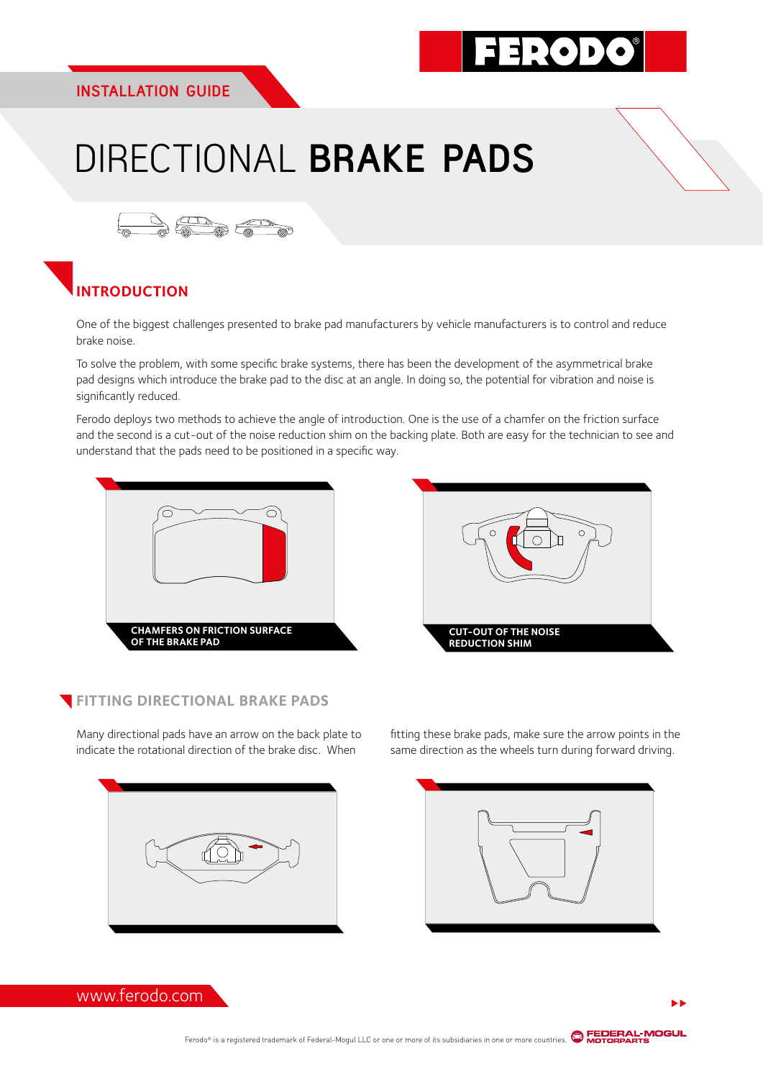### EP 0 D

# DIRECTIONAL **BRAKE PADS**



### **INTRODUCTION**

One of the biggest challenges presented to brake pad manufacturers by vehicle manufacturers is to control and reduce brake noise.

To solve the problem, with some specific brake systems, there has been the development of the asymmetrical brake pad designs which introduce the brake pad to the disc at an angle. In doing so, the potential for vibration and noise is significantly reduced.

Ferodo deploys two methods to achieve the angle of introduction. One is the use of a chamfer on the friction surface and the second is a cut-out of the noise reduction shim on the backing plate. Both are easy for the technician to see and understand that the pads need to be positioned in a specific way.





#### **FITTING DIRECTIONAL BRAKE PADS**

Many directional pads have an arrow on the back plate to indicate the rotational direction of the brake disc. When





fitting these brake pads, make sure the arrow points in the same direction as the wheels turn during forward driving.

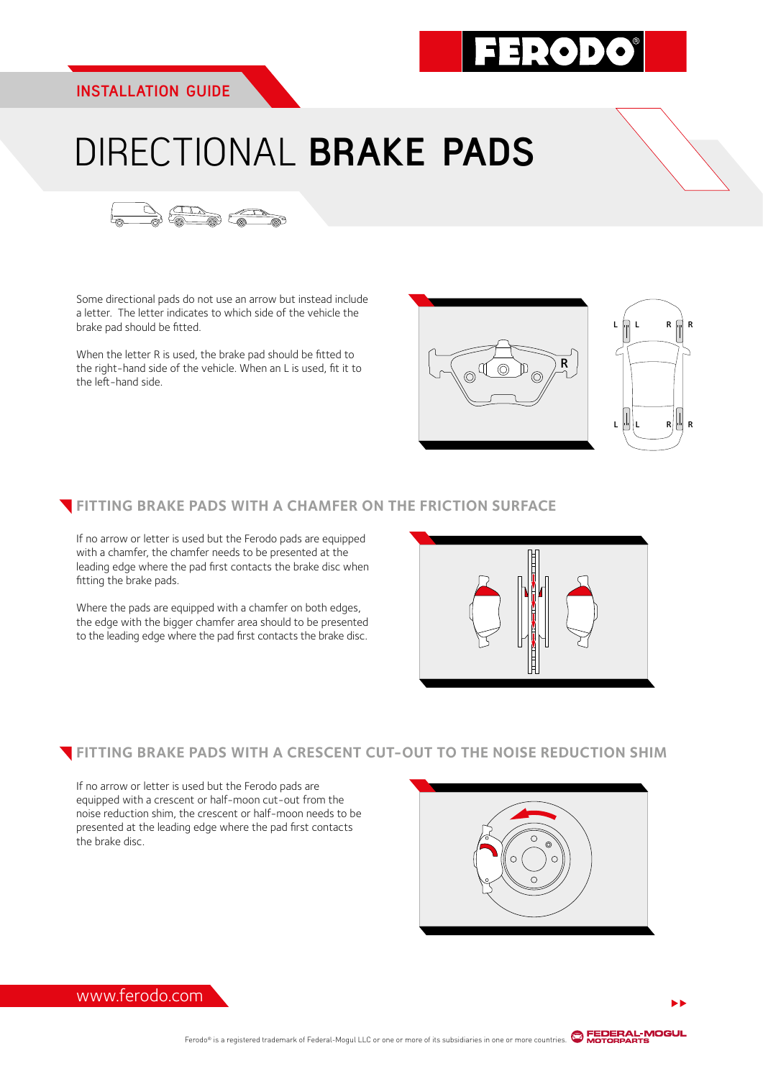

R

 $L$   $|\psi|$   $L$   $R$   $|\psi|$   $R$ 

L L R R

## DIRECTIONAL **BRAKE PADS**



Some directional pads do not use an arrow but instead include a letter. The letter indicates to which side of the vehicle the brake pad should be fitted.

When the letter R is used, the brake pad should be fitted to the right-hand side of the vehicle. When an L is used, fit it to the left-hand side.

#### **FITTING BRAKE PADS WITH A CHAMFER ON THE FRICTION SURFACE**

If no arrow or letter is used but the Ferodo pads are equipped with a chamfer, the chamfer needs to be presented at the leading edge where the pad first contacts the brake disc when fitting the brake pads.

Where the pads are equipped with a chamfer on both edges, the edge with the bigger chamfer area should to be presented to the leading edge where the pad first contacts the brake disc.

#### **FITTING BRAKE PADS WITH A CRESCENT CUT-OUT TO THE NOISE REDUCTION SHIM**

If no arrow or letter is used but the Ferodo pads are equipped with a crescent or half-moon cut-out from the noise reduction shim, the crescent or half-moon needs to be presented at the leading edge where the pad first contacts the brake disc.